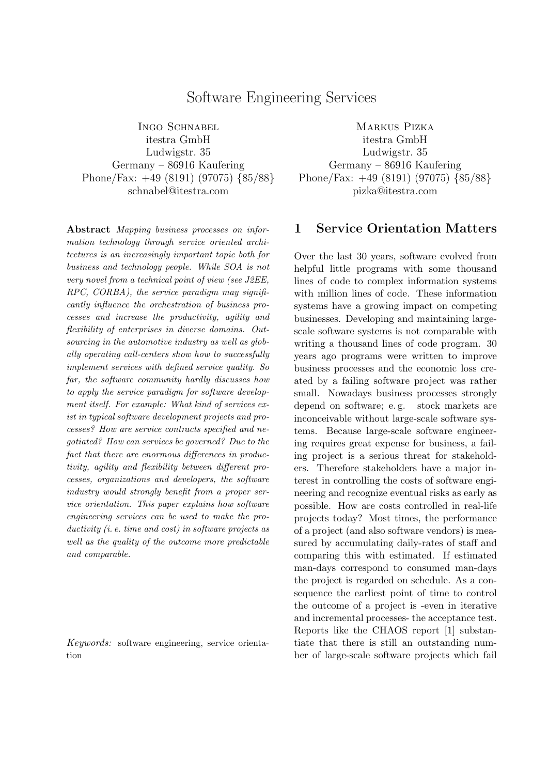## Software Engineering Services

INGO SCHNABEL itestra GmbH Ludwigstr. 35 Germany – 86916 Kaufering Phone/Fax: +49 (8191) (97075) {85/88} schnabel@itestra.com

Abstract Mapping business processes on information technology through service oriented architectures is an increasingly important topic both for business and technology people. While SOA is not very novel from a technical point of view (see J2EE, RPC, CORBA), the service paradigm may significantly influence the orchestration of business processes and increase the productivity, agility and flexibility of enterprises in diverse domains. Outsourcing in the automotive industry as well as globally operating call-centers show how to successfully implement services with defined service quality. So far, the software community hardly discusses how to apply the service paradigm for software development itself. For example: What kind of services exist in typical software development projects and processes? How are service contracts specified and negotiated? How can services be governed? Due to the fact that there are enormous differences in productivity, agility and flexibility between different processes, organizations and developers, the software industry would strongly benefit from a proper service orientation. This paper explains how software engineering services can be used to make the productivity *(i.e. time and cost)* in software projects as well as the quality of the outcome more predictable and comparable.

Keywords: software engineering, service orientation

Markus Pizka itestra GmbH Ludwigstr. 35 Germany – 86916 Kaufering Phone/Fax: +49 (8191) (97075) {85/88} pizka@itestra.com

### 1 Service Orientation Matters

Over the last 30 years, software evolved from helpful little programs with some thousand lines of code to complex information systems with million lines of code. These information systems have a growing impact on competing businesses. Developing and maintaining largescale software systems is not comparable with writing a thousand lines of code program. 30 years ago programs were written to improve business processes and the economic loss created by a failing software project was rather small. Nowadays business processes strongly depend on software; e.g. stock markets are inconceivable without large-scale software systems. Because large-scale software engineering requires great expense for business, a failing project is a serious threat for stakeholders. Therefore stakeholders have a major interest in controlling the costs of software engineering and recognize eventual risks as early as possible. How are costs controlled in real-life projects today? Most times, the performance of a project (and also software vendors) is measured by accumulating daily-rates of staff and comparing this with estimated. If estimated man-days correspond to consumed man-days the project is regarded on schedule. As a consequence the earliest point of time to control the outcome of a project is -even in iterative and incremental processes- the acceptance test. Reports like the CHAOS report [1] substantiate that there is still an outstanding number of large-scale software projects which fail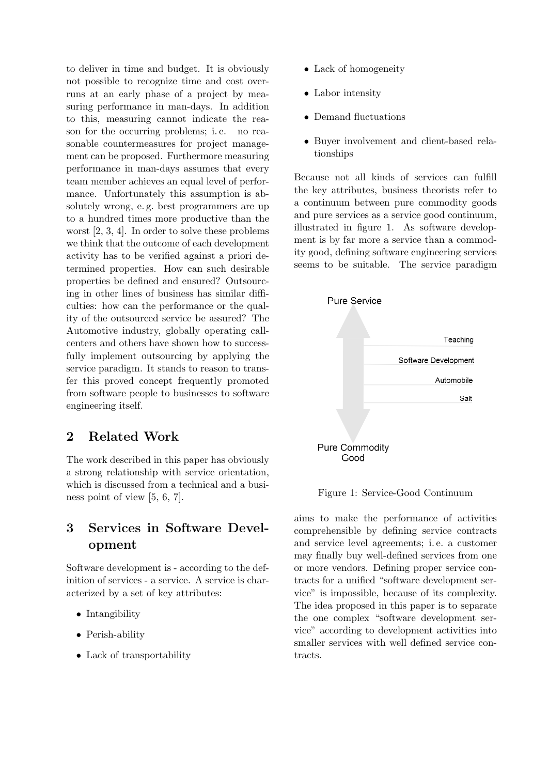to deliver in time and budget. It is obviously not possible to recognize time and cost overruns at an early phase of a project by measuring performance in man-days. In addition to this, measuring cannot indicate the reason for the occurring problems; i. e. no reasonable countermeasures for project management can be proposed. Furthermore measuring performance in man-days assumes that every team member achieves an equal level of performance. Unfortunately this assumption is absolutely wrong, e. g. best programmers are up to a hundred times more productive than the worst [2, 3, 4]. In order to solve these problems we think that the outcome of each development activity has to be verified against a priori determined properties. How can such desirable properties be defined and ensured? Outsourcing in other lines of business has similar difficulties: how can the performance or the quality of the outsourced service be assured? The Automotive industry, globally operating callcenters and others have shown how to successfully implement outsourcing by applying the service paradigm. It stands to reason to transfer this proved concept frequently promoted from software people to businesses to software engineering itself.

# 2 Related Work

The work described in this paper has obviously a strong relationship with service orientation, which is discussed from a technical and a business point of view [5, 6, 7].

# 3 Services in Software Development

Software development is - according to the definition of services - a service. A service is characterized by a set of key attributes:

- Intangibility
- Perish-ability
- Lack of transportability
- Lack of homogeneity
- Labor intensity
- Demand fluctuations
- Buyer involvement and client-based relationships

Because not all kinds of services can fulfill the key attributes, business theorists refer to a continuum between pure commodity goods and pure services as a service good continuum, illustrated in figure 1. As software development is by far more a service than a commodity good, defining software engineering services seems to be suitable. The service paradigm



Figure 1: Service-Good Continuum

aims to make the performance of activities comprehensible by defining service contracts and service level agreements; i. e. a customer may finally buy well-defined services from one or more vendors. Defining proper service contracts for a unified "software development service" is impossible, because of its complexity. The idea proposed in this paper is to separate the one complex "software development service" according to development activities into smaller services with well defined service contracts.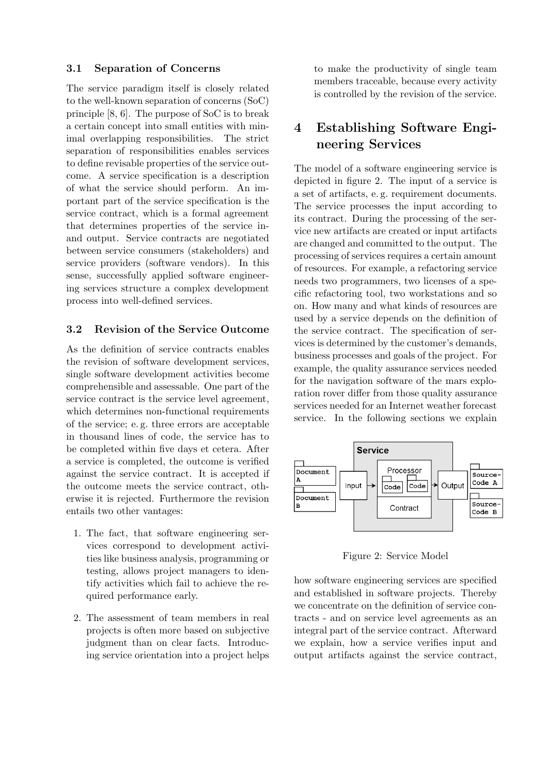#### 3.1 Separation of Concerns

The service paradigm itself is closely related to the well-known separation of concerns (SoC) principle [8, 6]. The purpose of SoC is to break a certain concept into small entities with minimal overlapping responsibilities. The strict separation of responsibilities enables services to define revisable properties of the service outcome. A service specification is a description of what the service should perform. An important part of the service specification is the service contract, which is a formal agreement that determines properties of the service inand output. Service contracts are negotiated between service consumers (stakeholders) and service providers (software vendors). In this sense, successfully applied software engineering services structure a complex development process into well-defined services.

### 3.2 Revision of the Service Outcome

As the definition of service contracts enables the revision of software development services, single software development activities become comprehensible and assessable. One part of the service contract is the service level agreement, which determines non-functional requirements of the service; e. g. three errors are acceptable in thousand lines of code, the service has to be completed within five days et cetera. After a service is completed, the outcome is verified against the service contract. It is accepted if the outcome meets the service contract, otherwise it is rejected. Furthermore the revision entails two other vantages:

- 1. The fact, that software engineering services correspond to development activities like business analysis, programming or testing, allows project managers to identify activities which fail to achieve the required performance early.
- 2. The assessment of team members in real projects is often more based on subjective judgment than on clear facts. Introducing service orientation into a project helps

to make the productivity of single team members traceable, because every activity is controlled by the revision of the service.

# 4 Establishing Software Engineering Services

The model of a software engineering service is depicted in figure 2. The input of a service is a set of artifacts, e. g. requirement documents. The service processes the input according to its contract. During the processing of the service new artifacts are created or input artifacts are changed and committed to the output. The processing of services requires a certain amount of resources. For example, a refactoring service needs two programmers, two licenses of a specific refactoring tool, two workstations and so on. How many and what kinds of resources are used by a service depends on the definition of the service contract. The specification of services is determined by the customer's demands, business processes and goals of the project. For example, the quality assurance services needed for the navigation software of the mars exploration rover differ from those quality assurance services needed for an Internet weather forecast service. In the following sections we explain



Figure 2: Service Model

how software engineering services are specified and established in software projects. Thereby we concentrate on the definition of service contracts - and on service level agreements as an integral part of the service contract. Afterward we explain, how a service verifies input and output artifacts against the service contract,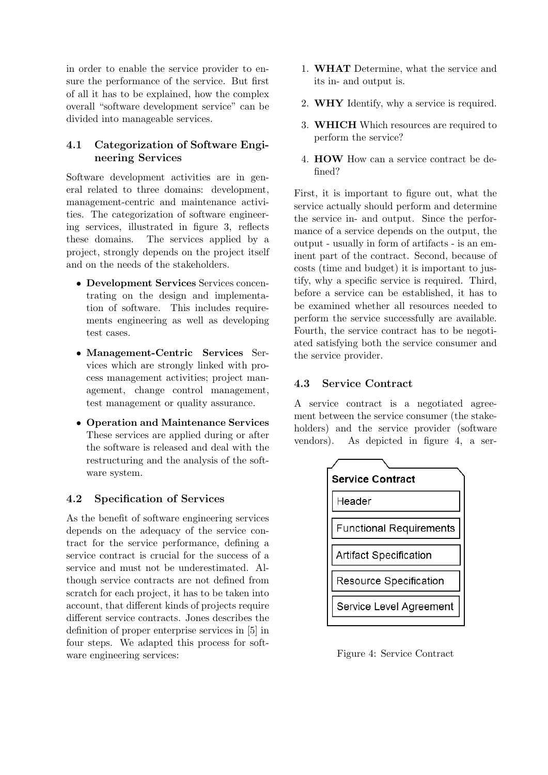in order to enable the service provider to ensure the performance of the service. But first of all it has to be explained, how the complex overall "software development service" can be divided into manageable services.

### 4.1 Categorization of Software Engineering Services

Software development activities are in general related to three domains: development, management-centric and maintenance activities. The categorization of software engineering services, illustrated in figure 3, reflects these domains. The services applied by a project, strongly depends on the project itself and on the needs of the stakeholders.

- Development Services Services concentrating on the design and implementation of software. This includes requirements engineering as well as developing test cases.
- Management-Centric Services Services which are strongly linked with process management activities; project management, change control management, test management or quality assurance.
- Operation and Maintenance Services These services are applied during or after the software is released and deal with the restructuring and the analysis of the software system.

### 4.2 Specification of Services

As the benefit of software engineering services depends on the adequacy of the service contract for the service performance, defining a service contract is crucial for the success of a service and must not be underestimated. Although service contracts are not defined from scratch for each project, it has to be taken into account, that different kinds of projects require different service contracts. Jones describes the definition of proper enterprise services in [5] in four steps. We adapted this process for software engineering services:

- 1. WHAT Determine, what the service and its in- and output is.
- 2. WHY Identify, why a service is required.
- 3. WHICH Which resources are required to perform the service?
- 4. HOW How can a service contract be defined?

First, it is important to figure out, what the service actually should perform and determine the service in- and output. Since the performance of a service depends on the output, the output - usually in form of artifacts - is an eminent part of the contract. Second, because of costs (time and budget) it is important to justify, why a specific service is required. Third, before a service can be established, it has to be examined whether all resources needed to perform the service successfully are available. Fourth, the service contract has to be negotiated satisfying both the service consumer and the service provider.

### 4.3 Service Contract

A service contract is a negotiated agreement between the service consumer (the stakeholders) and the service provider (software vendors). As depicted in figure 4, a ser-



Figure 4: Service Contract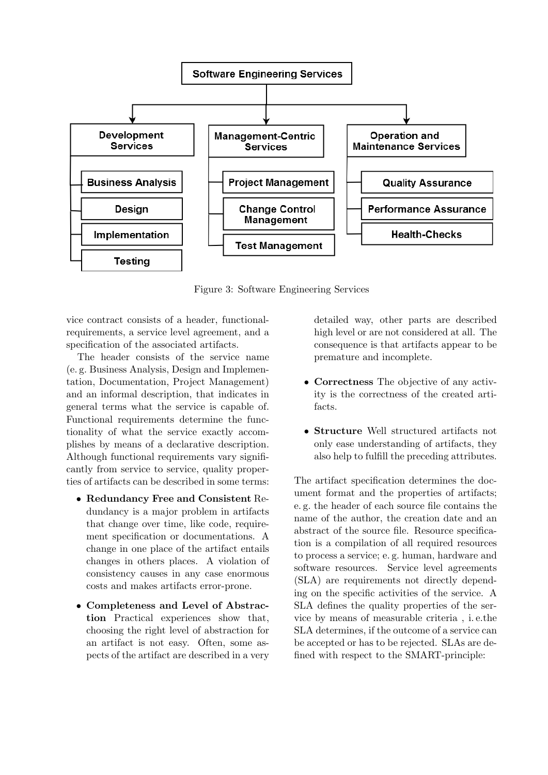

Figure 3: Software Engineering Services

vice contract consists of a header, functionalrequirements, a service level agreement, and a specification of the associated artifacts.

The header consists of the service name (e. g. Business Analysis, Design and Implementation, Documentation, Project Management) and an informal description, that indicates in general terms what the service is capable of. Functional requirements determine the functionality of what the service exactly accomplishes by means of a declarative description. Although functional requirements vary significantly from service to service, quality properties of artifacts can be described in some terms:

- Redundancy Free and Consistent Redundancy is a major problem in artifacts that change over time, like code, requirement specification or documentations. A change in one place of the artifact entails changes in others places. A violation of consistency causes in any case enormous costs and makes artifacts error-prone.
- Completeness and Level of Abstraction Practical experiences show that, choosing the right level of abstraction for an artifact is not easy. Often, some aspects of the artifact are described in a very

detailed way, other parts are described high level or are not considered at all. The consequence is that artifacts appear to be premature and incomplete.

- Correctness The objective of any activity is the correctness of the created artifacts.
- Structure Well structured artifacts not only ease understanding of artifacts, they also help to fulfill the preceding attributes.

The artifact specification determines the document format and the properties of artifacts; e. g. the header of each source file contains the name of the author, the creation date and an abstract of the source file. Resource specification is a compilation of all required resources to process a service; e. g. human, hardware and software resources. Service level agreements (SLA) are requirements not directly depending on the specific activities of the service. A SLA defines the quality properties of the service by means of measurable criteria , i. e.the SLA determines, if the outcome of a service can be accepted or has to be rejected. SLAs are defined with respect to the SMART-principle: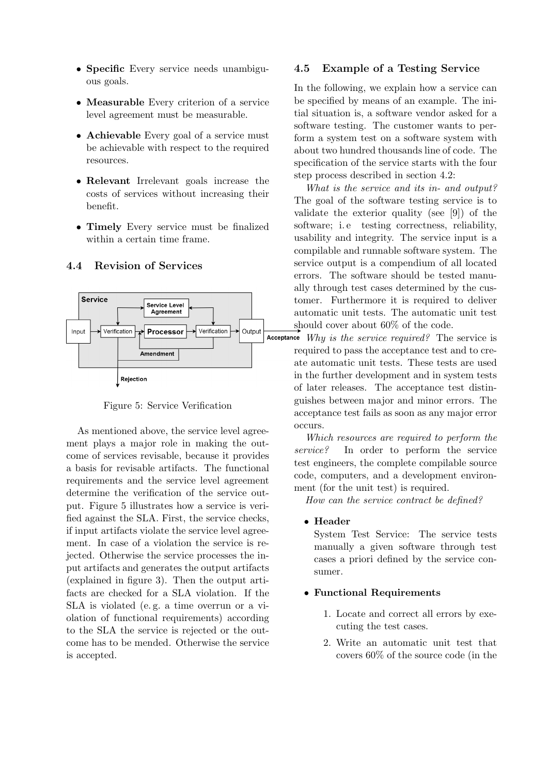- Specific Every service needs unambiguous goals.
- Measurable Every criterion of a service level agreement must be measurable.
- Achievable Every goal of a service must be achievable with respect to the required resources.
- Relevant Irrelevant goals increase the costs of services without increasing their benefit.
- Timely Every service must be finalized within a certain time frame.

#### 4.4 Revision of Services



Figure 5: Service Verification

As mentioned above, the service level agreement plays a major role in making the outcome of services revisable, because it provides a basis for revisable artifacts. The functional requirements and the service level agreement determine the verification of the service output. Figure 5 illustrates how a service is verified against the SLA. First, the service checks, if input artifacts violate the service level agreement. In case of a violation the service is rejected. Otherwise the service processes the input artifacts and generates the output artifacts (explained in figure 3). Then the output artifacts are checked for a SLA violation. If the SLA is violated (e. g. a time overrun or a violation of functional requirements) according to the SLA the service is rejected or the outcome has to be mended. Otherwise the service is accepted.

#### 4.5 Example of a Testing Service

In the following, we explain how a service can be specified by means of an example. The initial situation is, a software vendor asked for a software testing. The customer wants to perform a system test on a software system with about two hundred thousands line of code. The specification of the service starts with the four step process described in section 4.2:

What is the service and its in- and output? The goal of the software testing service is to validate the exterior quality (see [9]) of the software; i. e testing correctness, reliability, usability and integrity. The service input is a compilable and runnable software system. The service output is a compendium of all located errors. The software should be tested manually through test cases determined by the customer. Furthermore it is required to deliver automatic unit tests. The automatic unit test should cover about 60% of the code.

Acceptance  $Whu$  is the service required? The service is required to pass the acceptance test and to create automatic unit tests. These tests are used in the further development and in system tests of later releases. The acceptance test distinguishes between major and minor errors. The acceptance test fails as soon as any major error occurs.

> Which resources are required to perform the service? In order to perform the service test engineers, the complete compilable source code, computers, and a development environment (for the unit test) is required.

How can the service contract be defined?

#### • Header

System Test Service: The service tests manually a given software through test cases a priori defined by the service consumer.

#### • Functional Requirements

- 1. Locate and correct all errors by executing the test cases.
- 2. Write an automatic unit test that covers 60% of the source code (in the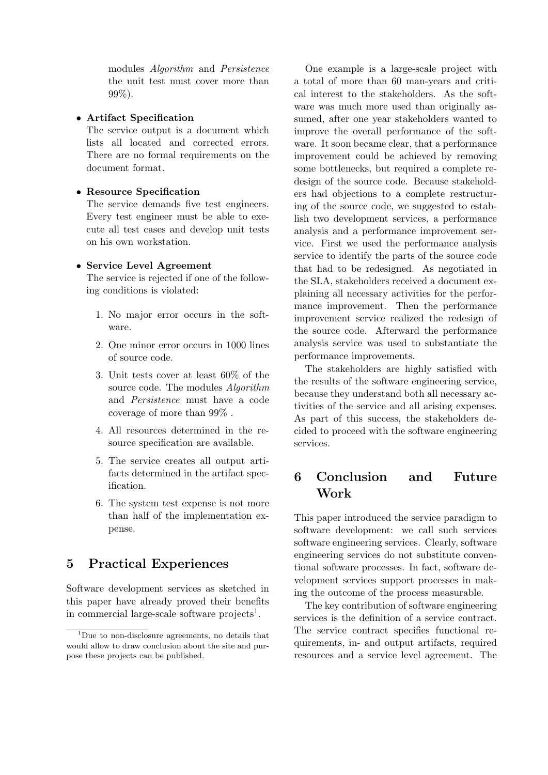modules Algorithm and Persistence the unit test must cover more than 99%).

#### • Artifact Specification

The service output is a document which lists all located and corrected errors. There are no formal requirements on the document format.

#### • Resource Specification

The service demands five test engineers. Every test engineer must be able to execute all test cases and develop unit tests on his own workstation.

#### • Service Level Agreement

The service is rejected if one of the following conditions is violated:

- 1. No major error occurs in the software.
- 2. One minor error occurs in 1000 lines of source code.
- 3. Unit tests cover at least 60% of the source code. The modules Algorithm and Persistence must have a code coverage of more than 99% .
- 4. All resources determined in the resource specification are available.
- 5. The service creates all output artifacts determined in the artifact specification.
- 6. The system test expense is not more than half of the implementation expense.

## 5 Practical Experiences

Software development services as sketched in this paper have already proved their benefits in commercial large-scale software projects<sup>1</sup>.

One example is a large-scale project with a total of more than 60 man-years and critical interest to the stakeholders. As the software was much more used than originally assumed, after one year stakeholders wanted to improve the overall performance of the software. It soon became clear, that a performance improvement could be achieved by removing some bottlenecks, but required a complete redesign of the source code. Because stakeholders had objections to a complete restructuring of the source code, we suggested to establish two development services, a performance analysis and a performance improvement service. First we used the performance analysis service to identify the parts of the source code that had to be redesigned. As negotiated in the SLA, stakeholders received a document explaining all necessary activities for the performance improvement. Then the performance improvement service realized the redesign of the source code. Afterward the performance analysis service was used to substantiate the performance improvements.

The stakeholders are highly satisfied with the results of the software engineering service, because they understand both all necessary activities of the service and all arising expenses. As part of this success, the stakeholders decided to proceed with the software engineering services.

## 6 Conclusion and Future Work

This paper introduced the service paradigm to software development: we call such services software engineering services. Clearly, software engineering services do not substitute conventional software processes. In fact, software development services support processes in making the outcome of the process measurable.

The key contribution of software engineering services is the definition of a service contract. The service contract specifies functional requirements, in- and output artifacts, required resources and a service level agreement. The

<sup>&</sup>lt;sup>1</sup>Due to non-disclosure agreements, no details that would allow to draw conclusion about the site and purpose these projects can be published.